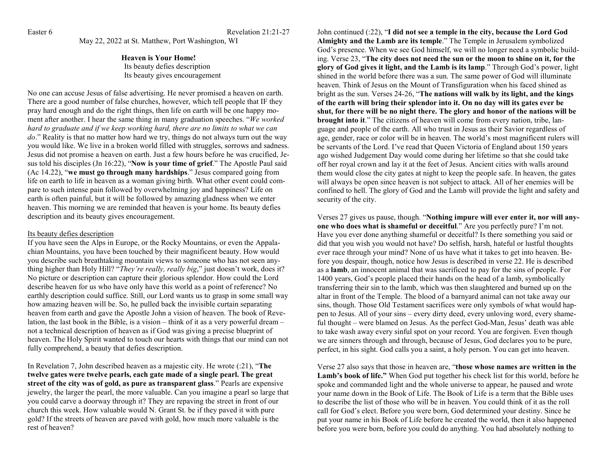Easter 6 Revelation 21:21-27

May 22, 2022 at St. Matthew, Port Washington, WI

## **Heaven is Your Home!**

Its beauty defies description Its beauty gives encouragement

No one can accuse Jesus of false advertising. He never promised a heaven on earth. There are a good number of false churches, however, which tell people that IF they pray hard enough and do the right things, then life on earth will be one happy moment after another. I hear the same thing in many graduation speeches. "*We worked hard to graduate and if we keep working hard, there are no limits to what we can do*." Reality is that no matter how hard we try, things do not always turn out the way you would like. We live in a broken world filled with struggles, sorrows and sadness. Jesus did not promise a heaven on earth. Just a few hours before he was crucified, Jesus told his disciples (Jn 16:22), "**Now is your time of grief**." The Apostle Paul said (Ac 14.22), "**we must go through many hardships**." Jesus compared going from life on earth to life in heaven as a woman giving birth. What other event could compare to such intense pain followed by overwhelming joy and happiness? Life on earth is often painful, but it will be followed by amazing gladness when we enter heaven. This morning we are reminded that heaven is your home. Its beauty defies description and its beauty gives encouragement.

## Its beauty defies description

If you have seen the Alps in Europe, or the Rocky Mountains, or even the Appalachian Mountains, you have been touched by their magnificent beauty. How would you describe such breathtaking mountain views to someone who has not seen anything higher than Holy Hill? "*They're really, really big*," just doesn't work, does it? No picture or description can capture their glorious splendor. How could the Lord describe heaven for us who have only have this world as a point of reference? No earthly description could suffice. Still, our Lord wants us to grasp in some small way how amazing heaven will be. So, he pulled back the invisible curtain separating heaven from earth and gave the Apostle John a vision of heaven. The book of Revelation, the last book in the Bible, is a vision – think of it as a very powerful dream – not a technical description of heaven as if God was giving a precise blueprint of heaven. The Holy Spirit wanted to touch our hearts with things that our mind can not fully comprehend, a beauty that defies description.

In Revelation 7, John described heaven as a majestic city. He wrote (:21), "**The twelve gates were twelve pearls, each gate made of a single pearl. The great street of the city was of gold, as pure as transparent glass**." Pearls are expensive jewelry, the larger the pearl, the more valuable. Can you imagine a pearl so large that you could carve a doorway through it? They are repaving the street in front of our church this week. How valuable would N. Grant St. be if they paved it with pure gold? If the streets of heaven are paved with gold, how much more valuable is the rest of heaven?

John continued (:22), "**I did not see a temple in the city, because the Lord God Almighty and the Lamb are its temple**." The Temple in Jerusalem symbolized God's presence. When we see God himself, we will no longer need a symbolic building. Verse 23, "**The city does not need the sun or the moon to shine on it, for the glory of God gives it light, and the Lamb is its lamp**." Through God's power, light shined in the world before there was a sun. The same power of God will illuminate heaven. Think of Jesus on the Mount of Transfiguration when his faced shined as bright as the sun. Verses 24-26, "**The nations will walk by its light, and the kings of the earth will bring their splendor into it. On no day will its gates ever be shut, for there will be no night there. The glory and honor of the nations will be brought into it**." The citizens of heaven will come from every nation, tribe, language and people of the earth. All who trust in Jesus as their Savior regardless of age, gender, race or color will be in heaven. The world's most magnificent rulers will be servants of the Lord. I've read that Queen Victoria of England about 150 years ago wished Judgement Day would come during her lifetime so that she could take off her royal crown and lay it at the feet of Jesus. Ancient cities with walls around them would close the city gates at night to keep the people safe. In heaven, the gates will always be open since heaven is not subject to attack. All of her enemies will be confined to hell. The glory of God and the Lamb will provide the light and safety and security of the city.

Verses 27 gives us pause, though. "**Nothing impure will ever enter it, nor will anyone who does what is shameful or deceitful**." Are you perfectly pure? I'm not. Have you ever done anything shameful or deceitful? Is there something you said or did that you wish you would not have? Do selfish, harsh, hateful or lustful thoughts ever race through your mind? None of us have what it takes to get into heaven. Before you despair, though, notice how Jesus is described in verse 22. He is described as a **lamb**, an innocent animal that was sacrificed to pay for the sins of people. For 1400 years, God's people placed their hands on the head of a lamb, symbolically transferring their sin to the lamb, which was then slaughtered and burned up on the altar in front of the Temple. The blood of a barnyard animal can not take away our sins, though. Those Old Testament sacrifices were only symbols of what would happen to Jesus. All of your sins – every dirty deed, every unloving word, every shameful thought – were blamed on Jesus. As the perfect God-Man, Jesus' death was able to take wash away every sinful spot on your record. You are forgiven. Even though we are sinners through and through, because of Jesus, God declares you to be pure, perfect, in his sight. God calls you a saint, a holy person. You can get into heaven.

Verse 27 also says that those in heaven are, "**those whose names are written in the Lamb's book of life."** When God put together his check list for this world, before he spoke and commanded light and the whole universe to appear, he paused and wrote your name down in the Book of Life. The Book of Life is a term that the Bible uses to describe the list of those who will be in heaven. You could think of it as the roll call for God's elect. Before you were born, God determined your destiny. Since he put your name in his Book of Life before he created the world, then it also happened before you were born, before you could do anything. You had absolutely nothing to